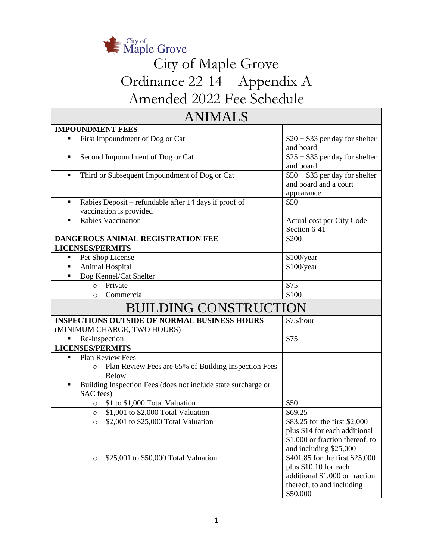

# City of Maple Grove Ordinance 22-14 – Appendix A Amended 2022 Fee Schedule

| <b>ANIMALS</b>                                                                        |                                                                                                                                     |  |  |
|---------------------------------------------------------------------------------------|-------------------------------------------------------------------------------------------------------------------------------------|--|--|
| <b>IMPOUNDMENT FEES</b>                                                               |                                                                                                                                     |  |  |
| First Impoundment of Dog or Cat<br>٠                                                  | $$20 + $33$ per day for shelter<br>and board                                                                                        |  |  |
| Second Impoundment of Dog or Cat<br>$\blacksquare$                                    | $$25 + $33$ per day for shelter<br>and board                                                                                        |  |  |
| Third or Subsequent Impoundment of Dog or Cat<br>Ξ                                    | $$50 + $33$ per day for shelter<br>and board and a court<br>appearance                                                              |  |  |
| Rabies Deposit – refundable after 14 days if proof of<br>٠<br>vaccination is provided | \$50                                                                                                                                |  |  |
| <b>Rabies Vaccination</b><br>$\blacksquare$                                           | Actual cost per City Code<br>Section 6-41                                                                                           |  |  |
| DANGEROUS ANIMAL REGISTRATION FEE                                                     | \$200                                                                                                                               |  |  |
| <b>LICENSES/PERMITS</b>                                                               |                                                                                                                                     |  |  |
| Pet Shop License<br>٠                                                                 | \$100/year                                                                                                                          |  |  |
| Animal Hospital<br>$\blacksquare$                                                     | \$100/year                                                                                                                          |  |  |
| Dog Kennel/Cat Shelter<br>٠                                                           |                                                                                                                                     |  |  |
| Private<br>$\circ$                                                                    | \$75                                                                                                                                |  |  |
| Commercial<br>$\Omega$                                                                | \$100                                                                                                                               |  |  |
| <b>BUILDING CONSTRUCTION</b>                                                          |                                                                                                                                     |  |  |
| <b>INSPECTIONS OUTSIDE OF NORMAL BUSINESS HOURS</b>                                   | \$75/hour                                                                                                                           |  |  |
| (MINIMUM CHARGE, TWO HOURS)                                                           |                                                                                                                                     |  |  |
| Re-Inspection<br>п                                                                    | \$75                                                                                                                                |  |  |
| <b>LICENSES/PERMITS</b>                                                               |                                                                                                                                     |  |  |
| Plan Review Fees<br>П                                                                 |                                                                                                                                     |  |  |
| Plan Review Fees are 65% of Building Inspection Fees<br>$\circ$<br><b>Below</b>       |                                                                                                                                     |  |  |
| Building Inspection Fees (does not include state surcharge or<br>٠                    |                                                                                                                                     |  |  |
| SAC fees)                                                                             |                                                                                                                                     |  |  |
| \$1 to \$1,000 Total Valuation<br>$\circ$                                             | \$50                                                                                                                                |  |  |
| \$1,001 to \$2,000 Total Valuation<br>O                                               | \$69.25                                                                                                                             |  |  |
| \$2,001 to \$25,000 Total Valuation<br>$\circ$                                        | \$83.25 for the first \$2,000<br>plus \$14 for each additional<br>\$1,000 or fraction thereof, to<br>and including \$25,000         |  |  |
| \$25,001 to \$50,000 Total Valuation<br>$\circ$                                       | \$401.85 for the first \$25,000<br>plus \$10.10 for each<br>additional \$1,000 or fraction<br>thereof, to and including<br>\$50,000 |  |  |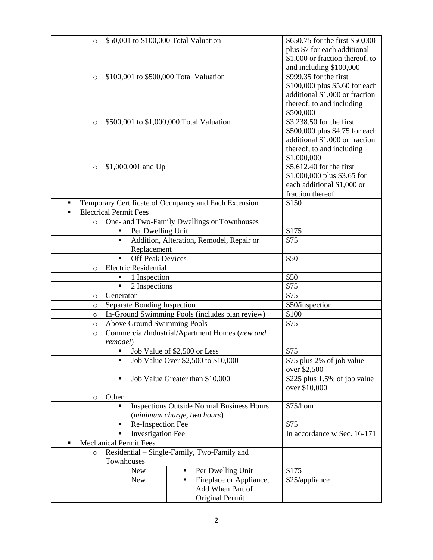| \$50,001 to \$100,000 Total Valuation<br>$\circ$               |                                                       | \$650.75 for the first \$50,000 |
|----------------------------------------------------------------|-------------------------------------------------------|---------------------------------|
|                                                                |                                                       | plus \$7 for each additional    |
|                                                                |                                                       | \$1,000 or fraction thereof, to |
|                                                                |                                                       | and including \$100,000         |
| \$100,001 to \$500,000 Total Valuation<br>$\circ$              |                                                       | \$999.35 for the first          |
|                                                                |                                                       | \$100,000 plus \$5.60 for each  |
|                                                                |                                                       |                                 |
|                                                                |                                                       | additional \$1,000 or fraction  |
|                                                                |                                                       | thereof, to and including       |
|                                                                |                                                       | \$500,000                       |
| $\circ$                                                        | \$500,001 to \$1,000,000 Total Valuation              | \$3,238.50 for the first        |
|                                                                |                                                       | \$500,000 plus \$4.75 for each  |
|                                                                |                                                       | additional \$1,000 or fraction  |
|                                                                |                                                       | thereof, to and including       |
|                                                                |                                                       | \$1,000,000                     |
| \$1,000,001 and Up<br>$\circ$                                  |                                                       | \$5,612.40 for the first        |
|                                                                |                                                       | \$1,000,000 plus \$3.65 for     |
|                                                                |                                                       | each additional \$1,000 or      |
|                                                                |                                                       | fraction thereof                |
| $\blacksquare$                                                 | Temporary Certificate of Occupancy and Each Extension | \$150                           |
| <b>Electrical Permit Fees</b><br>٠                             |                                                       |                                 |
|                                                                |                                                       |                                 |
| $\circ$                                                        | One- and Two-Family Dwellings or Townhouses           |                                 |
| Per Dwelling Unit                                              |                                                       | \$175                           |
| Ξ                                                              | Addition, Alteration, Remodel, Repair or              | \$75                            |
| Replacement                                                    |                                                       |                                 |
| <b>Off-Peak Devices</b>                                        |                                                       | \$50                            |
| <b>Electric Residential</b><br>$\circ$                         |                                                       |                                 |
| 1 Inspection                                                   |                                                       | \$50                            |
| 2 Inspections<br>$\blacksquare$                                |                                                       | $\overline{$}75$                |
| Generator<br>O                                                 |                                                       | \$75                            |
| Separate Bonding Inspection<br>$\circ$                         |                                                       | \$50/inspection                 |
| $\circ$                                                        | In-Ground Swimming Pools (includes plan review)       | \$100                           |
| <b>Above Ground Swimming Pools</b>                             |                                                       | \$75                            |
| $\circ$                                                        |                                                       |                                 |
| $\circ$                                                        | Commercial/Industrial/Apartment Homes (new and        |                                 |
| remodel)                                                       |                                                       |                                 |
| $\blacksquare$                                                 | Job Value of \$2,500 or Less                          | \$75                            |
| $\blacksquare$                                                 | Job Value Over \$2,500 to \$10,000                    | \$75 plus 2% of job value       |
|                                                                |                                                       | over \$2,500                    |
| ٠                                                              | Job Value Greater than \$10,000                       | \$225 plus $1.5\%$ of job value |
|                                                                |                                                       | over \$10,000                   |
| Other<br>O                                                     |                                                       |                                 |
| $\blacksquare$                                                 | <b>Inspections Outside Normal Business Hours</b>      | \$75/hour                       |
|                                                                | (minimum charge, two hours)                           |                                 |
| Re-Inspection Fee<br>$\blacksquare$                            |                                                       | \$75                            |
| $\blacksquare$                                                 |                                                       | In accordance w Sec. 16-171     |
| <b>Investigation Fee</b><br><b>Mechanical Permit Fees</b><br>٠ |                                                       |                                 |
|                                                                |                                                       |                                 |
| $\circ$                                                        | Residential – Single-Family, Two-Family and           |                                 |
| Townhouses                                                     |                                                       |                                 |
| <b>New</b>                                                     | Per Dwelling Unit<br>٠                                | \$175                           |
| <b>New</b>                                                     | Fireplace or Appliance,<br>٠                          | \$25/appliance                  |
|                                                                | Add When Part of                                      |                                 |
|                                                                | Original Permit                                       |                                 |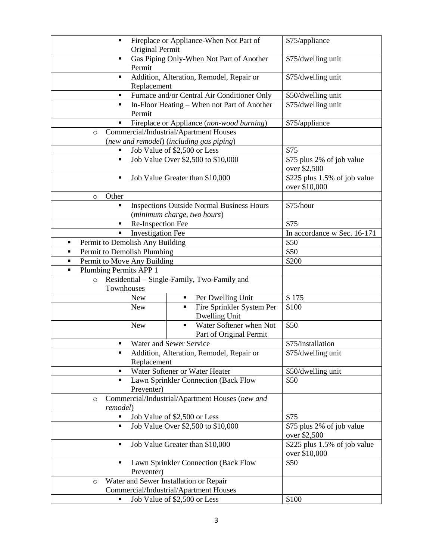| Fireplace or Appliance-When Not Part of<br>$\blacksquare$            | \$75/appliance                                                                  |                                                  |
|----------------------------------------------------------------------|---------------------------------------------------------------------------------|--------------------------------------------------|
| Original Permit                                                      |                                                                                 |                                                  |
| Gas Piping Only-When Not Part of Another<br>$\blacksquare$<br>Permit | \$75/dwelling unit                                                              |                                                  |
| Addition, Alteration, Remodel, Repair or<br>п<br>Replacement         | \$75/dwelling unit                                                              |                                                  |
| $\blacksquare$                                                       | Furnace and/or Central Air Conditioner Only                                     | \$50/dwelling unit                               |
| $\blacksquare$<br>Permit                                             | In-Floor Heating - When not Part of Another                                     | \$75/dwelling unit                               |
| п                                                                    | Fireplace or Appliance (non-wood burning)                                       | \$75/appliance                                   |
| O                                                                    | Commercial/Industrial/Apartment Houses                                          |                                                  |
|                                                                      | (new and remodel) (including gas piping)                                        |                                                  |
| п                                                                    | Job Value of \$2,500 or Less                                                    | \$75                                             |
| ٠                                                                    | Job Value Over \$2,500 to \$10,000                                              | \$75 plus 2% of job value<br>over \$2,500        |
| ٠                                                                    | Job Value Greater than \$10,000                                                 | \$225 plus 1.5% of job value<br>over \$10,000    |
| Other<br>$\circ$                                                     |                                                                                 |                                                  |
| Ξ                                                                    | <b>Inspections Outside Normal Business Hours</b><br>(minimum charge, two hours) | \$75/hour                                        |
| Re-Inspection Fee<br>п                                               |                                                                                 | \$75                                             |
| <b>Investigation Fee</b><br>П                                        |                                                                                 | In accordance w Sec. 16-171                      |
| Permit to Demolish Any Building<br>п                                 |                                                                                 | \$50                                             |
| Permit to Demolish Plumbing<br>$\blacksquare$                        |                                                                                 | \$50                                             |
| Permit to Move Any Building<br>$\blacksquare$                        |                                                                                 | \$200                                            |
| Plumbing Permits APP 1<br>٠                                          |                                                                                 |                                                  |
| $\circ$                                                              | Residential – Single-Family, Two-Family and                                     |                                                  |
| Townhouses                                                           |                                                                                 |                                                  |
| <b>New</b>                                                           | Per Dwelling Unit<br>٠                                                          | \$175                                            |
| <b>New</b>                                                           | Fire Sprinkler System Per<br>$\blacksquare$<br>Dwelling Unit                    | \$100                                            |
| <b>New</b>                                                           | Water Softener when Not<br>$\blacksquare$<br>Part of Original Permit            | \$50                                             |
| Ξ                                                                    | Water and Sewer Service                                                         | \$75/installation                                |
|                                                                      | Addition, Alteration, Remodel, Repair or                                        | \$75/dwelling unit                               |
| Replacement                                                          |                                                                                 |                                                  |
| $\blacksquare$                                                       | Water Softener or Water Heater                                                  | \$50/dwelling unit                               |
| Lawn Sprinkler Connection (Back Flow<br>٠<br>Preventer)              |                                                                                 | \$50                                             |
| Commercial/Industrial/Apartment Houses (new and<br>$\circ$           |                                                                                 |                                                  |
| remodel)                                                             |                                                                                 |                                                  |
|                                                                      | Job Value of \$2,500 or Less                                                    | \$75                                             |
| Ξ                                                                    | Job Value Over \$2,500 to \$10,000                                              | \$75 plus 2% of job value<br>over \$2,500        |
| Ξ                                                                    | Job Value Greater than \$10,000                                                 | \$225 plus $1.5\%$ of job value<br>over \$10,000 |
| п<br>Preventer)                                                      | Lawn Sprinkler Connection (Back Flow                                            | \$50                                             |
| $\circ$                                                              | Water and Sewer Installation or Repair                                          |                                                  |
|                                                                      | Commercial/Industrial/Apartment Houses                                          |                                                  |
|                                                                      | Job Value of \$2,500 or Less                                                    | \$100                                            |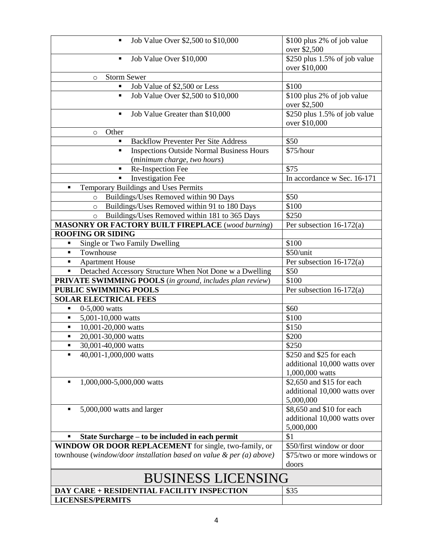| Job Value Over \$2,500 to \$10,000                                     | \$100 plus 2% of job value               |  |
|------------------------------------------------------------------------|------------------------------------------|--|
|                                                                        | over \$2,500                             |  |
| Job Value Over \$10,000<br>٠                                           | $\overline{$}250$ plus 1.5% of job value |  |
|                                                                        | over \$10,000                            |  |
| <b>Storm Sewer</b><br>$\circ$                                          |                                          |  |
| Job Value of \$2,500 or Less                                           | \$100                                    |  |
| Job Value Over \$2,500 to \$10,000<br>$\blacksquare$                   | \$100 plus 2% of job value               |  |
|                                                                        | over \$2,500                             |  |
| Job Value Greater than \$10,000<br>٠                                   | \$250 plus 1.5% of job value             |  |
|                                                                        | over \$10,000                            |  |
| Other<br>$\circ$                                                       |                                          |  |
| <b>Backflow Preventer Per Site Address</b>                             | \$50                                     |  |
| <b>Inspections Outside Normal Business Hours</b>                       | \$75/hour                                |  |
| (minimum charge, two hours)                                            |                                          |  |
| Re-Inspection Fee<br>$\blacksquare$                                    | \$75                                     |  |
| <b>Investigation Fee</b><br>$\blacksquare$                             | In accordance w Sec. 16-171              |  |
| Temporary Buildings and Uses Permits<br>п                              |                                          |  |
| Buildings/Uses Removed within 90 Days<br>$\circ$                       | \$50                                     |  |
| Buildings/Uses Removed within 91 to 180 Days<br>$\circ$                | \$100                                    |  |
| Buildings/Uses Removed within 181 to 365 Days<br>$\circ$               | \$250                                    |  |
| <b>MASONRY OR FACTORY BUILT FIREPLACE</b> (wood burning)               | Per subsection $16-172(a)$               |  |
| <b>ROOFING OR SIDING</b>                                               |                                          |  |
| Single or Two Family Dwelling                                          | \$100                                    |  |
| Townhouse                                                              | \$50/unit                                |  |
| <b>Apartment House</b><br>٠                                            | Per subsection $16-172(a)$               |  |
| Detached Accessory Structure When Not Done w a Dwelling<br>٠           | \$50                                     |  |
| PRIVATE SWIMMING POOLS (in ground, includes plan review)               | \$100                                    |  |
| <b>PUBLIC SWIMMING POOLS</b>                                           | Per subsection $16-172(a)$               |  |
| <b>SOLAR ELECTRICAL FEES</b>                                           |                                          |  |
| $0-5,000$ watts<br>٠                                                   | \$60                                     |  |
| 5,001-10,000 watts<br>٠                                                | \$100                                    |  |
| 10,001-20,000 watts<br>٠                                               | \$150                                    |  |
| 20,001-30,000 watts<br>$\blacksquare$                                  | \$200                                    |  |
| 30,001-40,000 watts<br>$\blacksquare$                                  | \$250                                    |  |
| 40,001-1,000,000 watts                                                 | \$250 and \$25 for each                  |  |
|                                                                        | additional 10,000 watts over             |  |
|                                                                        | 1,000,000 watts                          |  |
| 1,000,000-5,000,000 watts<br>$\blacksquare$                            | \$2,650 and \$15 for each                |  |
|                                                                        | additional 10,000 watts over             |  |
|                                                                        | 5,000,000                                |  |
| 5,000,000 watts and larger<br>$\blacksquare$                           | \$8,650 and \$10 for each                |  |
|                                                                        | additional 10,000 watts over             |  |
|                                                                        | 5,000,000                                |  |
| State Surcharge – to be included in each permit                        | \$1                                      |  |
| WINDOW OR DOOR REPLACEMENT for single, two-family, or                  | \$50/first window or door                |  |
| townhouse (window/door installation based on value $\&$ per (a) above) | \$75/two or more windows or              |  |
|                                                                        | doors                                    |  |
| <b>BUSINESS LICENSING</b>                                              |                                          |  |
| DAY CARE + RESIDENTIAL FACILITY INSPECTION                             | \$35                                     |  |
| <b>LICENSES/PERMITS</b>                                                |                                          |  |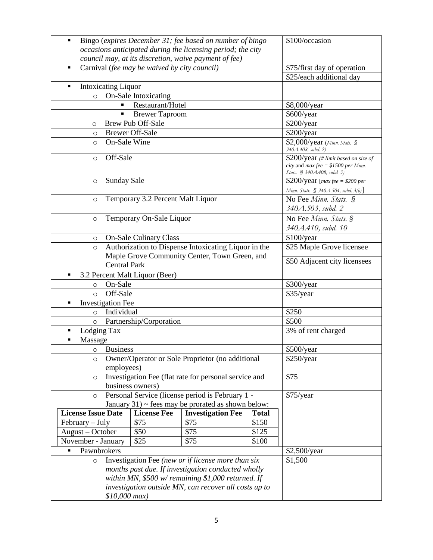| Bingo (expires December 31; fee based on number of bingo<br>٠ |                                              |                                                             | \$100/occasion |                                                                                                               |
|---------------------------------------------------------------|----------------------------------------------|-------------------------------------------------------------|----------------|---------------------------------------------------------------------------------------------------------------|
|                                                               |                                              | occasions anticipated during the licensing period; the city |                |                                                                                                               |
|                                                               |                                              | council may, at its discretion, waive payment of fee)       |                |                                                                                                               |
| $\blacksquare$                                                | Carnival (fee may be waived by city council) |                                                             |                | \$75/first day of operation                                                                                   |
|                                                               |                                              |                                                             |                | \$25/each additional day                                                                                      |
| <b>Intoxicating Liquor</b><br>٠                               |                                              |                                                             |                |                                                                                                               |
| $\circ$                                                       | On-Sale Intoxicating                         |                                                             |                |                                                                                                               |
|                                                               | Restaurant/Hotel                             |                                                             |                | \$8,000/year                                                                                                  |
|                                                               | <b>Brewer Taproom</b>                        |                                                             |                | \$600/year                                                                                                    |
| O                                                             | <b>Brew Pub Off-Sale</b>                     |                                                             |                | \$200/year                                                                                                    |
| $\circ$                                                       | <b>Brewer Off-Sale</b>                       |                                                             |                | \$200/year                                                                                                    |
| On-Sale Wine<br>$\circ$                                       |                                              |                                                             |                | \$2,000/year (Minn. Stats. §<br>340.A.408, subd. 2)                                                           |
| Off-Sale<br>$\circ$                                           |                                              |                                                             |                | $$200/year$ (# limit based on size of<br>city and $max$ fee = \$1500 per Minn.<br>Stats. § 340A.408, subd. 3) |
| <b>Sunday Sale</b><br>$\circ$                                 |                                              |                                                             |                | \$200/year [ $max$ fee = \$200 per                                                                            |
|                                                               | Temporary 3.2 Percent Malt Liquor            |                                                             |                | Minn. Stats. § 340A.504, subd. 3(b)]                                                                          |
| $\circ$                                                       |                                              |                                                             |                | No Fee Minn. Stats. §                                                                                         |
|                                                               |                                              |                                                             |                | 340A.503, subd. 2                                                                                             |
| $\circ$                                                       | Temporary On-Sale Liquor                     |                                                             |                | No Fee Minn. Stats. §                                                                                         |
|                                                               |                                              |                                                             |                | 340A.410, subd. 10                                                                                            |
| $\circ$                                                       | <b>On-Sale Culinary Class</b>                |                                                             |                | \$100/year                                                                                                    |
| $\circ$                                                       |                                              | Authorization to Dispense Intoxicating Liquor in the        |                | \$25 Maple Grove licensee                                                                                     |
|                                                               |                                              | Maple Grove Community Center, Town Green, and               |                | \$50 Adjacent city licensees                                                                                  |
| <b>Central Park</b>                                           |                                              |                                                             |                |                                                                                                               |
| 3.2 Percent Malt Liquor (Beer)                                |                                              |                                                             |                |                                                                                                               |
| On-Sale<br>O                                                  |                                              |                                                             |                | \$300/year                                                                                                    |
| Off-Sale<br>$\circ$                                           |                                              |                                                             |                | \$35/year                                                                                                     |
| <b>Investigation Fee</b><br>п                                 |                                              |                                                             |                |                                                                                                               |
| Individual<br>$\circ$                                         |                                              |                                                             |                | \$250                                                                                                         |
| O                                                             | Partnership/Corporation                      |                                                             |                | \$500                                                                                                         |
| Lodging Tax<br>$\blacksquare$                                 |                                              |                                                             |                | 3% of rent charged                                                                                            |
| Massage<br>٠                                                  |                                              |                                                             |                |                                                                                                               |
| o Business                                                    |                                              |                                                             |                | \$500/year                                                                                                    |
| $\circ$                                                       |                                              | Owner/Operator or Sole Proprietor (no additional            |                | \$250/year                                                                                                    |
| employees)                                                    |                                              |                                                             |                |                                                                                                               |
| $\circ$                                                       |                                              | Investigation Fee (flat rate for personal service and       |                | \$75                                                                                                          |
|                                                               | business owners)                             |                                                             |                |                                                                                                               |
| $\circ$                                                       |                                              | Personal Service (license period is February 1 -            |                | \$75/year                                                                                                     |
|                                                               |                                              | January $31$ ) ~ fees may be prorated as shown below:       |                |                                                                                                               |
| <b>License Issue Date</b>                                     | <b>License Fee</b>                           | <b>Investigation Fee</b>                                    | <b>Total</b>   |                                                                                                               |
| February - July                                               | \$75                                         | \$75                                                        | \$150          |                                                                                                               |
| August - October                                              | \$50                                         | \$75                                                        | \$125          |                                                                                                               |
| \$75<br>November - January<br>\$25<br>\$100                   |                                              |                                                             |                |                                                                                                               |
| Pawnbrokers                                                   |                                              |                                                             |                | \$2,500/year                                                                                                  |
| Investigation Fee (new or if license more than six<br>$\circ$ |                                              |                                                             |                | \$1,500                                                                                                       |
| months past due. If investigation conducted wholly            |                                              |                                                             |                |                                                                                                               |
| within MN, $$500$ w/ remaining \$1,000 returned. If           |                                              |                                                             |                |                                                                                                               |
| investigation outside MN, can recover all costs up to         |                                              |                                                             |                |                                                                                                               |
| $$10,000$ max)                                                |                                              |                                                             |                |                                                                                                               |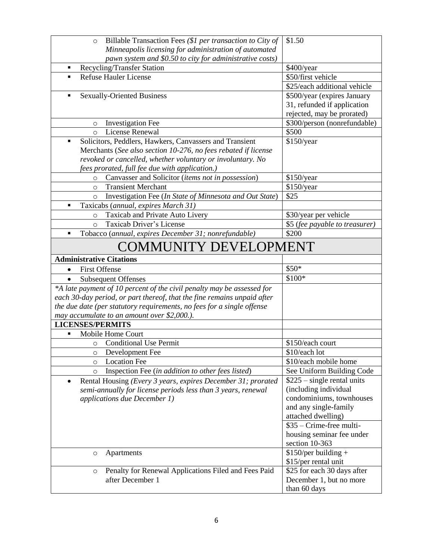| Billable Transaction Fees (\$1 per transaction to City of<br>$\circ$                | \$1.50                                                 |
|-------------------------------------------------------------------------------------|--------------------------------------------------------|
| Minneapolis licensing for administration of automated                               |                                                        |
| pawn system and \$0.50 to city for administrative costs)                            |                                                        |
| Recycling/Transfer Station<br>Ξ                                                     | \$400/year                                             |
| <b>Refuse Hauler License</b><br>$\blacksquare$                                      | \$50/first vehicle                                     |
|                                                                                     | \$25/each additional vehicle                           |
| <b>Sexually-Oriented Business</b><br>$\blacksquare$                                 | \$500/year (expires January                            |
|                                                                                     | 31, refunded if application                            |
|                                                                                     | rejected, may be prorated)                             |
| <b>Investigation Fee</b><br>$\circ$                                                 | \$300/person (nonrefundable)                           |
| <b>License Renewal</b><br>$\circ$                                                   | \$500                                                  |
| Solicitors, Peddlers, Hawkers, Canvassers and Transient<br>П                        | \$150/year                                             |
| Merchants (See also section 10-276, no fees rebated if license                      |                                                        |
| revoked or cancelled, whether voluntary or involuntary. No                          |                                                        |
| fees prorated, full fee due with application.)                                      |                                                        |
| Canvasser and Solicitor (items not in possession)<br>$\circ$                        | \$150/year                                             |
| <b>Transient Merchant</b><br>$\Omega$                                               | \$150/year                                             |
| Investigation Fee (In State of Minnesota and Out State)<br>$\circ$                  | \$25                                                   |
| Taxicabs (annual, expires March 31)                                                 |                                                        |
| Taxicab and Private Auto Livery<br>$\circ$                                          | \$30/year per vehicle                                  |
| Taxicab Driver's License<br>$\circ$                                                 | \$5 (fee payable to treasurer)                         |
| Tobacco (annual, expires December 31; nonrefundable)<br>$\blacksquare$              | \$200                                                  |
| <b>COMMUNITY DEVELOPMENT</b>                                                        |                                                        |
| <b>Administrative Citations</b>                                                     |                                                        |
| <b>First Offense</b><br>$\bullet$                                                   | \$50*                                                  |
| <b>Subsequent Offenses</b><br>$\bullet$                                             | \$100*                                                 |
| *A late payment of 10 percent of the civil penalty may be assessed for              |                                                        |
| each 30-day period, or part thereof, that the fine remains unpaid after             |                                                        |
| the due date (per statutory requirements, no fees for a single offense              |                                                        |
| may accumulate to an amount over \$2,000.).                                         |                                                        |
| <b>LICENSES/PERMITS</b>                                                             |                                                        |
| Mobile Home Court<br>Ξ                                                              |                                                        |
| <b>Conditional Use Permit</b><br>$\circ$                                            | \$150/each court                                       |
| Development Fee                                                                     | \$10/each lot                                          |
| <b>Location Fee</b><br>O                                                            | \$10/each mobile home                                  |
| Inspection Fee (in addition to other fees listed)<br>$\circ$                        | See Uniform Building Code                              |
| Rental Housing (Every 3 years, expires December 31; prorated                        | $$225$ – single rental units                           |
| semi-annually for license periods less than 3 years, renewal                        |                                                        |
| applications due December 1)                                                        | (including individual                                  |
|                                                                                     | condominiums, townhouses                               |
|                                                                                     | and any single-family                                  |
|                                                                                     | attached dwelling)                                     |
|                                                                                     | \$35 – Crime-free multi-                               |
|                                                                                     | housing seminar fee under                              |
|                                                                                     | section 10-363                                         |
| Apartments<br>$\circ$                                                               | $$150/per building +$                                  |
|                                                                                     | \$15/per rental unit                                   |
| Penalty for Renewal Applications Filed and Fees Paid<br>$\circ$<br>after December 1 | \$25 for each 30 days after<br>December 1, but no more |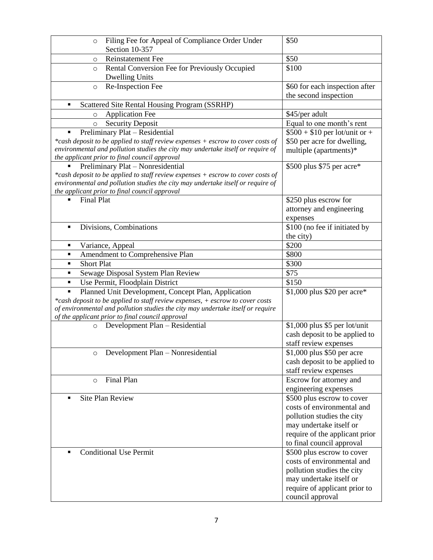| Filing Fee for Appeal of Compliance Order Under<br>$\circ$                      | \$50                           |
|---------------------------------------------------------------------------------|--------------------------------|
| Section 10-357                                                                  |                                |
| <b>Reinstatement Fee</b><br>$\circ$                                             | \$50                           |
| Rental Conversion Fee for Previously Occupied<br>$\circ$                        | \$100                          |
| <b>Dwelling Units</b>                                                           |                                |
| Re-Inspection Fee<br>$\circ$                                                    | \$60 for each inspection after |
|                                                                                 | the second inspection          |
| Scattered Site Rental Housing Program (SSRHP)<br>Ξ                              |                                |
| <b>Application Fee</b><br>$\circ$                                               | \$45/per adult                 |
| <b>Security Deposit</b><br>$\circ$                                              | Equal to one month's rent      |
| Preliminary Plat - Residential<br>٠                                             | $$500 + $10$ per lot/unit or + |
| *cash deposit to be applied to staff review expenses + escrow to cover costs of | \$50 per acre for dwelling,    |
| environmental and pollution studies the city may undertake itself or require of | multiple (apartments)*         |
| the applicant prior to final council approval                                   |                                |
| Preliminary Plat - Nonresidential                                               | \$500 plus \$75 per acre*      |
| *cash deposit to be applied to staff review expenses + escrow to cover costs of |                                |
| environmental and pollution studies the city may undertake itself or require of |                                |
| the applicant prior to final council approval                                   |                                |
| <b>Final Plat</b>                                                               | \$250 plus escrow for          |
|                                                                                 | attorney and engineering       |
|                                                                                 | expenses                       |
| Divisions, Combinations<br>П                                                    | \$100 (no fee if initiated by  |
|                                                                                 | the city)                      |
| Variance, Appeal<br>٠                                                           | \$200                          |
| Amendment to Comprehensive Plan<br>٠                                            | \$800                          |
| <b>Short Plat</b><br>٠                                                          | \$300                          |
| Sewage Disposal System Plan Review<br>Ξ                                         | \$75                           |
| Use Permit, Floodplain District<br>٠                                            | \$150                          |
| Planned Unit Development, Concept Plan, Application<br>$\blacksquare$           | \$1,000 plus \$20 per acre*    |
| *cash deposit to be applied to staff review expenses, + escrow to cover costs   |                                |
| of environmental and pollution studies the city may undertake itself or require |                                |
| of the applicant prior to final council approval                                |                                |
| Development Plan - Residential<br>$\circ$                                       | \$1,000 plus \$5 per lot/unit  |
|                                                                                 | cash deposit to be applied to  |
|                                                                                 | staff review expenses          |
| Development Plan - Nonresidential                                               | \$1,000 plus \$50 per acre     |
|                                                                                 | cash deposit to be applied to  |
|                                                                                 | staff review expenses          |
| Final Plan<br>$\circ$                                                           | Escrow for attorney and        |
|                                                                                 | engineering expenses           |
| <b>Site Plan Review</b><br>П                                                    | \$500 plus escrow to cover     |
|                                                                                 | costs of environmental and     |
|                                                                                 | pollution studies the city     |
|                                                                                 | may undertake itself or        |
|                                                                                 | require of the applicant prior |
|                                                                                 | to final council approval      |
| <b>Conditional Use Permit</b>                                                   | \$500 plus escrow to cover     |
|                                                                                 | costs of environmental and     |
|                                                                                 | pollution studies the city     |
|                                                                                 | may undertake itself or        |
|                                                                                 | require of applicant prior to  |
|                                                                                 | council approval               |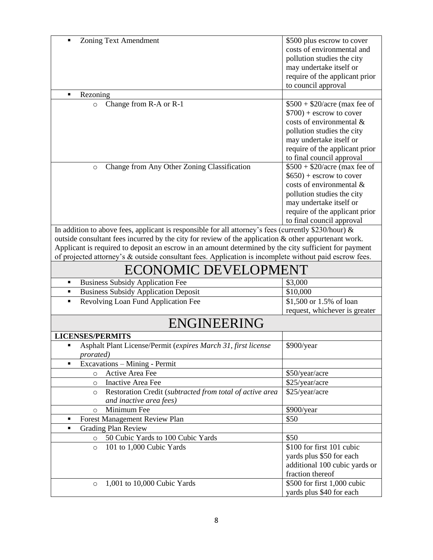| <b>Zoning Text Amendment</b><br>$\blacksquare$                                                          | \$500 plus escrow to cover     |  |
|---------------------------------------------------------------------------------------------------------|--------------------------------|--|
|                                                                                                         | costs of environmental and     |  |
|                                                                                                         |                                |  |
|                                                                                                         | pollution studies the city     |  |
|                                                                                                         | may undertake itself or        |  |
|                                                                                                         | require of the applicant prior |  |
|                                                                                                         | to council approval            |  |
| П<br>Rezoning                                                                                           |                                |  |
| Change from R-A or R-1<br>$\circ$                                                                       | $$500 + $20/$ acre (max fee of |  |
|                                                                                                         | $$700$ ) + escrow to cover     |  |
|                                                                                                         | costs of environmental &       |  |
|                                                                                                         | pollution studies the city     |  |
|                                                                                                         | may undertake itself or        |  |
|                                                                                                         | require of the applicant prior |  |
|                                                                                                         | to final council approval      |  |
| Change from Any Other Zoning Classification<br>$\circ$                                                  | $$500 + $20/$ acre (max fee of |  |
|                                                                                                         | $$650$ ) + escrow to cover     |  |
|                                                                                                         | costs of environmental $\&$    |  |
|                                                                                                         | pollution studies the city     |  |
|                                                                                                         | may undertake itself or        |  |
|                                                                                                         | require of the applicant prior |  |
|                                                                                                         | to final council approval      |  |
| In addition to above fees, applicant is responsible for all attorney's fees (currently \$230/hour) $\&$ |                                |  |
| outside consultant fees incurred by the city for review of the application & other appurtenant work.    |                                |  |
| Applicant is required to deposit an escrow in an amount determined by the city sufficient for payment   |                                |  |
| of projected attorney's & outside consultant fees. Application is incomplete without paid escrow fees.  |                                |  |
|                                                                                                         |                                |  |
| <b>ECONOMIC DEVELOPMENT</b>                                                                             |                                |  |
| <b>Business Subsidy Application Fee</b><br>٠                                                            | \$3,000                        |  |
| <b>Business Subsidy Application Deposit</b><br>٠                                                        | \$10,000                       |  |
| Revolving Loan Fund Application Fee<br>п                                                                | \$1,500 or 1.5% of loan        |  |
|                                                                                                         | request, whichever is greater  |  |
| <b>ENGINEERING</b>                                                                                      |                                |  |
| <b>LICENSES/PERMITS</b>                                                                                 |                                |  |
| Asphalt Plant License/Permit (expires March 31, first license<br>$\blacksquare$                         | \$900/year                     |  |
| prorated)                                                                                               |                                |  |
| Excavations - Mining - Permit<br>$\blacksquare$                                                         |                                |  |
| Active Area Fee<br>$\circ$                                                                              | \$50/year/acre                 |  |
| <b>Inactive Area Fee</b><br>$\circ$                                                                     | \$25/year/acre                 |  |
| Restoration Credit (subtracted from total of active area<br>$\circ$                                     | \$25/year/acre                 |  |
| and inactive area fees)                                                                                 |                                |  |
| Minimum Fee<br>$\circ$                                                                                  | \$900/year                     |  |
| Forest Management Review Plan<br>٠                                                                      | \$50                           |  |
| <b>Grading Plan Review</b><br>$\blacksquare$                                                            |                                |  |
| 50 Cubic Yards to 100 Cubic Yards<br>$\circ$                                                            | \$50                           |  |
| 101 to 1,000 Cubic Yards<br>$\circ$                                                                     | \$100 for first 101 cubic      |  |
|                                                                                                         | yards plus \$50 for each       |  |
|                                                                                                         | additional 100 cubic yards or  |  |
|                                                                                                         | fraction thereof               |  |
|                                                                                                         |                                |  |
| 1,001 to 10,000 Cubic Yards<br>$\circ$                                                                  | \$500 for first 1,000 cubic    |  |
|                                                                                                         | yards plus \$40 for each       |  |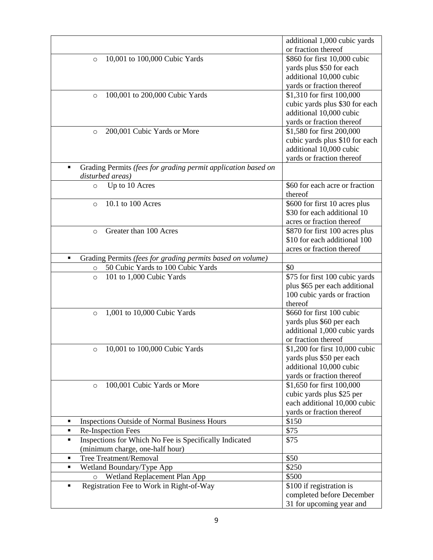|                                                                                | additional 1,000 cubic yards                              |
|--------------------------------------------------------------------------------|-----------------------------------------------------------|
|                                                                                | or fraction thereof                                       |
| 10,001 to 100,000 Cubic Yards<br>$\circ$                                       | \$860 for first 10,000 cubic                              |
|                                                                                | yards plus \$50 for each                                  |
|                                                                                | additional 10,000 cubic                                   |
|                                                                                | yards or fraction thereof                                 |
| 100,001 to 200,000 Cubic Yards<br>$\circ$                                      | \$1,310 for first 100,000                                 |
|                                                                                | cubic yards plus \$30 for each                            |
|                                                                                | additional 10,000 cubic                                   |
|                                                                                | yards or fraction thereof                                 |
| 200,001 Cubic Yards or More<br>$\circ$                                         | \$1,580 for first 200,000                                 |
|                                                                                | cubic yards plus \$10 for each                            |
|                                                                                | additional 10,000 cubic                                   |
|                                                                                | yards or fraction thereof                                 |
| Grading Permits (fees for grading permit application based on                  |                                                           |
| disturbed areas)                                                               |                                                           |
| Up to 10 Acres<br>$\circ$                                                      | \$60 for each acre or fraction                            |
|                                                                                | thereof                                                   |
| 10.1 to 100 Acres<br>$\circ$                                                   | \$600 for first 10 acres plus                             |
|                                                                                | \$30 for each additional 10                               |
|                                                                                | acres or fraction thereof                                 |
| Greater than 100 Acres<br>$\circ$                                              | \$870 for first 100 acres plus                            |
|                                                                                | \$10 for each additional 100                              |
|                                                                                | acres or fraction thereof                                 |
| Grading Permits (fees for grading permits based on volume)<br>$\blacksquare$   |                                                           |
| 50 Cubic Yards to 100 Cubic Yards<br>$\circ$                                   | \$0                                                       |
| 101 to 1,000 Cubic Yards<br>$\circ$                                            | \$75 for first 100 cubic yards                            |
|                                                                                | plus \$65 per each additional                             |
|                                                                                | 100 cubic yards or fraction                               |
|                                                                                | thereof                                                   |
| 1,001 to 10,000 Cubic Yards<br>$\circ$                                         | \$660 for first 100 cubic                                 |
|                                                                                | yards plus \$60 per each                                  |
|                                                                                | additional 1,000 cubic yards                              |
|                                                                                | or fraction thereof                                       |
| 10,001 to 100,000 Cubic Yards<br>$\circ$                                       | \$1,200 for first 10,000 cubic                            |
|                                                                                | yards plus \$50 per each                                  |
|                                                                                | additional 10,000 cubic                                   |
| 100,001 Cubic Yards or More                                                    | yards or fraction thereof<br>\$1,650 for first 100,000    |
| $\circ$                                                                        |                                                           |
|                                                                                | cubic yards plus \$25 per<br>each additional 10,000 cubic |
|                                                                                | yards or fraction thereof                                 |
| ٠                                                                              | \$150                                                     |
| <b>Inspections Outside of Normal Business Hours</b><br>Re-Inspection Fees<br>٠ | \$75                                                      |
| Inspections for Which No Fee is Specifically Indicated<br>٠                    | \$75                                                      |
| (minimum charge, one-half hour)                                                |                                                           |
| Tree Treatment/Removal<br>٠                                                    | \$50                                                      |
| Wetland Boundary/Type App<br>٠                                                 | \$250                                                     |
| Wetland Replacement Plan App<br>$\circ$                                        | \$500                                                     |
| Registration Fee to Work in Right-of-Way<br>٠                                  | \$100 if registration is                                  |
|                                                                                | completed before December                                 |
|                                                                                | 31 for upcoming year and                                  |
|                                                                                |                                                           |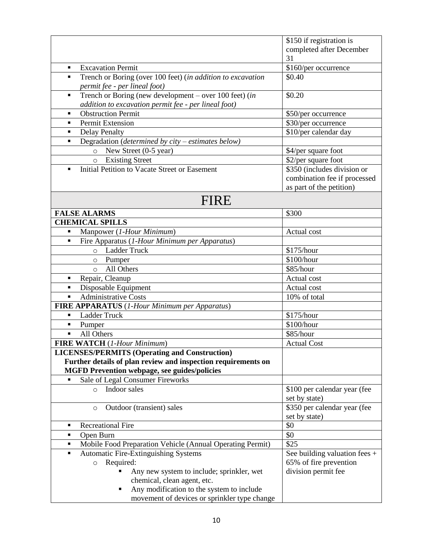|                                                                               | \$150 if registration is        |
|-------------------------------------------------------------------------------|---------------------------------|
|                                                                               | completed after December        |
|                                                                               | 31                              |
| <b>Excavation Permit</b><br>٠                                                 | \$160/per occurrence            |
| Trench or Boring (over 100 feet) (in addition to excavation<br>$\blacksquare$ | \$0.40                          |
| permit fee - per lineal foot)                                                 |                                 |
| Trench or Boring (new development – over 100 feet) (in<br>٠                   | \$0.20                          |
| addition to excavation permit fee - per lineal foot)                          |                                 |
| <b>Obstruction Permit</b><br>$\blacksquare$                                   | \$50/per occurrence             |
| Permit Extension<br>$\blacksquare$                                            | \$30/per occurrence             |
| <b>Delay Penalty</b><br>$\blacksquare$                                        | \$10/per calendar day           |
| Degradation (determined by $city - estimates$ below)<br>$\blacksquare$        |                                 |
| New Street (0-5 year)<br>$\circ$                                              | \$4/per square foot             |
| <b>Existing Street</b><br>$\circ$                                             | $\sqrt{$2$}/per square$ foot    |
| Initial Petition to Vacate Street or Easement<br>$\blacksquare$               | \$350 (includes division or     |
|                                                                               | combination fee if processed    |
|                                                                               | as part of the petition)        |
| FIRE                                                                          |                                 |
| <b>FALSE ALARMS</b>                                                           | \$300                           |
| <b>CHEMICAL SPILLS</b>                                                        |                                 |
| Manpower (1-Hour Minimum)<br>$\blacksquare$                                   | Actual cost                     |
| Fire Apparatus (1-Hour Minimum per Apparatus)<br>$\blacksquare$               |                                 |
| <b>Ladder Truck</b><br>$\circ$                                                | \$175/hour                      |
| Pumper<br>$\circ$                                                             | \$100/hour                      |
| All Others<br>$\circ$                                                         | \$85/hour                       |
| Repair, Cleanup<br>٠                                                          | Actual cost                     |
| Disposable Equipment<br>$\blacksquare$                                        | Actual cost                     |
| <b>Administrative Costs</b><br>$\blacksquare$                                 | 10% of total                    |
| FIRE APPARATUS (1-Hour Minimum per Apparatus)                                 |                                 |
| Ladder Truck<br>$\blacksquare$                                                | \$175/hour                      |
| Pumper<br>٠                                                                   | \$100/hour                      |
| All Others<br>$\blacksquare$                                                  | \$85/hour                       |
| <b>FIRE WATCH</b> (1-Hour Minimum)                                            | <b>Actual Cost</b>              |
| <b>LICENSES/PERMITS (Operating and Construction)</b>                          |                                 |
| Further details of plan review and inspection requirements on                 |                                 |
| <b>MGFD Prevention webpage, see guides/policies</b>                           |                                 |
| Sale of Legal Consumer Fireworks                                              |                                 |
| Indoor sales<br>$\circ$                                                       | \$100 per calendar year (fee    |
|                                                                               | set by state)                   |
| Outdoor (transient) sales<br>$\circ$                                          | \$350 per calendar year (fee    |
|                                                                               | set by state)                   |
| <b>Recreational Fire</b><br>٠                                                 | \$0                             |
| Open Burn<br>٠                                                                | \$0                             |
| Mobile Food Preparation Vehicle (Annual Operating Permit)<br>٠                | \$25                            |
| <b>Automatic Fire-Extinguishing Systems</b><br>$\blacksquare$                 | See building valuation fees $+$ |
| Required:<br>$\circ$                                                          | 65% of fire prevention          |
| Any new system to include; sprinkler, wet                                     | division permit fee             |
| chemical, clean agent, etc.                                                   |                                 |
| Any modification to the system to include                                     |                                 |
| movement of devices or sprinkler type change                                  |                                 |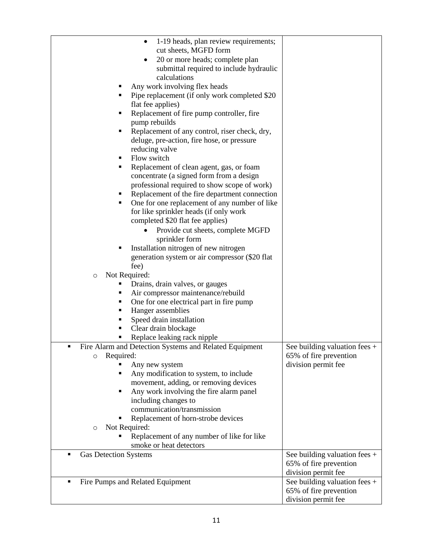| 1-19 heads, plan review requirements;<br>٠                    |                                 |
|---------------------------------------------------------------|---------------------------------|
| cut sheets, MGFD form                                         |                                 |
| 20 or more heads; complete plan<br>٠                          |                                 |
| submittal required to include hydraulic                       |                                 |
| calculations                                                  |                                 |
| Any work involving flex heads                                 |                                 |
| Pipe replacement (if only work completed \$20)<br>п           |                                 |
| flat fee applies)                                             |                                 |
| Replacement of fire pump controller, fire<br>٠                |                                 |
| pump rebuilds                                                 |                                 |
| Replacement of any control, riser check, dry,<br>п            |                                 |
| deluge, pre-action, fire hose, or pressure                    |                                 |
| reducing valve                                                |                                 |
| Flow switch<br>п                                              |                                 |
| Replacement of clean agent, gas, or foam<br>٠                 |                                 |
| concentrate (a signed form from a design                      |                                 |
| professional required to show scope of work)                  |                                 |
| Replacement of the fire department connection<br>٠            |                                 |
| One for one replacement of any number of like<br>٠            |                                 |
| for like sprinkler heads (if only work                        |                                 |
| completed \$20 flat fee applies)                              |                                 |
| Provide cut sheets, complete MGFD                             |                                 |
| sprinkler form                                                |                                 |
| Installation nitrogen of new nitrogen<br>٠                    |                                 |
| generation system or air compressor (\$20 flat)               |                                 |
| fee)                                                          |                                 |
| Not Required:<br>$\circ$                                      |                                 |
| Drains, drain valves, or gauges                               |                                 |
| Air compressor maintenance/rebuild<br>٠                       |                                 |
| One for one electrical part in fire pump<br>٠                 |                                 |
| Hanger assemblies<br>٠                                        |                                 |
| Speed drain installation<br>п                                 |                                 |
| Clear drain blockage<br>п                                     |                                 |
| Replace leaking rack nipple                                   |                                 |
| Fire Alarm and Detection Systems and Related Equipment<br>٠   | See building valuation fees +   |
| Required:<br>$\circ$                                          | 65% of fire prevention          |
| Any new system<br>Any modification to system, to include<br>Ξ | division permit fee             |
| movement, adding, or removing devices                         |                                 |
| Any work involving the fire alarm panel<br>٠                  |                                 |
| including changes to                                          |                                 |
| communication/transmission                                    |                                 |
| Replacement of horn-strobe devices                            |                                 |
| Not Required:<br>$\circ$                                      |                                 |
| Replacement of any number of like for like                    |                                 |
| smoke or heat detectors                                       |                                 |
| <b>Gas Detection Systems</b><br>п                             | See building valuation fees $+$ |
|                                                               | 65% of fire prevention          |
|                                                               | division permit fee             |
| Fire Pumps and Related Equipment<br>$\blacksquare$            | See building valuation fees $+$ |
|                                                               | 65% of fire prevention          |
|                                                               | division permit fee             |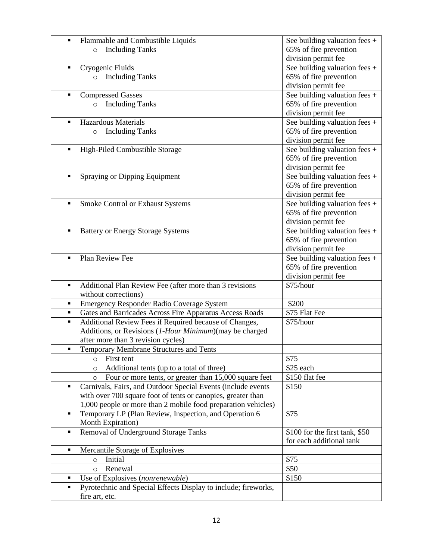| $\blacksquare$ | Flammable and Combustible Liquids                                 | See building valuation fees $+$ |
|----------------|-------------------------------------------------------------------|---------------------------------|
|                | <b>Including Tanks</b><br>$\circ$                                 | 65% of fire prevention          |
|                |                                                                   | division permit fee             |
| ٠              | Cryogenic Fluids                                                  | See building valuation fees $+$ |
|                | o Including Tanks                                                 | 65% of fire prevention          |
|                |                                                                   | division permit fee             |
| ٠              | <b>Compressed Gasses</b>                                          | See building valuation fees +   |
|                | <b>Including Tanks</b><br>$\circ$                                 | 65% of fire prevention          |
|                |                                                                   | division permit fee             |
| ٠              | <b>Hazardous Materials</b>                                        | See building valuation fees +   |
|                | <b>Including Tanks</b><br>$\circ$                                 | 65% of fire prevention          |
|                |                                                                   | division permit fee             |
| $\blacksquare$ | High-Piled Combustible Storage                                    | See building valuation fees $+$ |
|                |                                                                   | 65% of fire prevention          |
|                |                                                                   | division permit fee             |
| ٠              | Spraying or Dipping Equipment                                     | See building valuation fees +   |
|                |                                                                   | 65% of fire prevention          |
|                |                                                                   | division permit fee             |
| ٠              | Smoke Control or Exhaust Systems                                  | See building valuation fees +   |
|                |                                                                   | 65% of fire prevention          |
|                |                                                                   | division permit fee             |
| $\blacksquare$ | <b>Battery or Energy Storage Systems</b>                          | See building valuation fees +   |
|                |                                                                   | 65% of fire prevention          |
|                |                                                                   | division permit fee             |
| $\blacksquare$ | Plan Review Fee                                                   | See building valuation fees $+$ |
|                |                                                                   | 65% of fire prevention          |
|                |                                                                   | division permit fee             |
| $\blacksquare$ | Additional Plan Review Fee (after more than 3 revisions           | \$75/hour                       |
|                | without corrections)                                              |                                 |
| ٠              | Emergency Responder Radio Coverage System                         | \$200                           |
| ٠              | Gates and Barricades Across Fire Apparatus Access Roads           | \$75 Flat Fee                   |
| $\blacksquare$ | Additional Review Fees if Required because of Changes,            | \$75/hour                       |
|                | Additions, or Revisions (1-Hour Minimum) (may be charged          |                                 |
|                | after more than 3 revision cycles)                                |                                 |
| $\blacksquare$ | Temporary Membrane Structures and Tents                           |                                 |
|                | First tent<br>$\circ$                                             | \$75                            |
|                | Additional tents (up to a total of three)<br>$\circ$              | \$25 each                       |
|                | Four or more tents, or greater than 15,000 square feet<br>$\circ$ | \$150 flat fee                  |
| ٠              | Carnivals, Fairs, and Outdoor Special Events (include events      | \$150                           |
|                | with over 700 square foot of tents or canopies, greater than      |                                 |
|                | 1,000 people or more than 2 mobile food preparation vehicles)     |                                 |
| $\blacksquare$ | Temporary LP (Plan Review, Inspection, and Operation 6            | \$75                            |
|                | Month Expiration)                                                 |                                 |
| ٠              | Removal of Underground Storage Tanks                              | \$100 for the first tank, \$50  |
|                |                                                                   | for each additional tank        |
| ٠              | Mercantile Storage of Explosives                                  |                                 |
|                | Initial<br>$\circ$                                                | \$75                            |
|                | Renewal<br>$\circ$                                                | \$50                            |
| ٠              | Use of Explosives (nonrenewable)                                  | \$150                           |
| ٠              | Pyrotechnic and Special Effects Display to include; fireworks,    |                                 |
|                |                                                                   |                                 |
|                | fire art, etc.                                                    |                                 |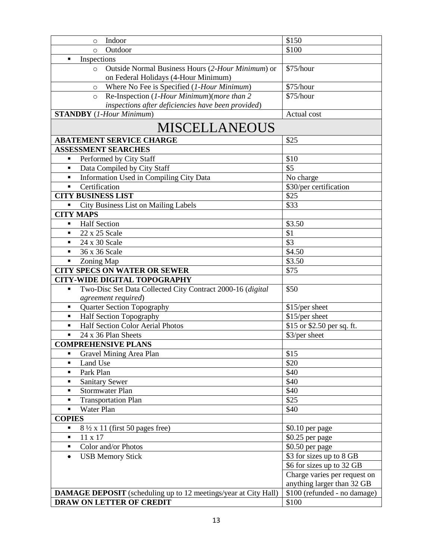| Indoor<br>$\circ$                                                            | \$150                        |  |  |  |
|------------------------------------------------------------------------------|------------------------------|--|--|--|
| Outdoor<br>$\circ$                                                           | \$100                        |  |  |  |
| Inspections<br>$\blacksquare$                                                |                              |  |  |  |
| Outside Normal Business Hours (2-Hour Minimum) or<br>$\circ$                 | \$75/hour                    |  |  |  |
| on Federal Holidays (4-Hour Minimum)                                         |                              |  |  |  |
| Where No Fee is Specified (1-Hour Minimum)<br>$\circ$                        | \$75/hour                    |  |  |  |
| Re-Inspection (1-Hour Minimum)(more than 2<br>$\circ$                        | \$75/hour                    |  |  |  |
| inspections after deficiencies have been provided)                           |                              |  |  |  |
| <b>STANDBY</b> (1-Hour Minimum)                                              | Actual cost                  |  |  |  |
| <b>MISCELLANEOUS</b>                                                         |                              |  |  |  |
| <b>ABATEMENT SERVICE CHARGE</b>                                              | \$25                         |  |  |  |
| <b>ASSESSMENT SEARCHES</b>                                                   |                              |  |  |  |
| Performed by City Staff                                                      | \$10                         |  |  |  |
| Data Compiled by City Staff                                                  | \$5                          |  |  |  |
| Information Used in Compiling City Data<br>٠                                 | No charge                    |  |  |  |
| Certification<br>$\blacksquare$                                              | \$30/per certification       |  |  |  |
| <b>CITY BUSINESS LIST</b>                                                    | \$25                         |  |  |  |
| <b>City Business List on Mailing Labels</b><br>Ξ                             | \$33                         |  |  |  |
| <b>CITY MAPS</b>                                                             |                              |  |  |  |
| <b>Half Section</b><br>٠                                                     | \$3.50                       |  |  |  |
| 22 x 25 Scale<br>٠                                                           | \$1                          |  |  |  |
| 24 x 30 Scale<br>$\blacksquare$                                              | \$3                          |  |  |  |
| 36 x 36 Scale<br>$\blacksquare$                                              | \$4.50                       |  |  |  |
| Zoning Map<br>Ξ                                                              | \$3.50                       |  |  |  |
| <b>CITY SPECS ON WATER OR SEWER</b>                                          | \$75                         |  |  |  |
| <b>CITY-WIDE DIGITAL TOPOGRAPHY</b>                                          |                              |  |  |  |
| Two-Disc Set Data Collected City Contract 2000-16 (digital<br>$\blacksquare$ | \$50                         |  |  |  |
| agreement required)                                                          |                              |  |  |  |
| <b>Quarter Section Topography</b><br>٠                                       | \$15/per sheet               |  |  |  |
| <b>Half Section Topography</b><br>$\blacksquare$                             | \$15/per sheet               |  |  |  |
| Half Section Color Aerial Photos<br>٠                                        | \$15 or \$2.50 per sq. ft.   |  |  |  |
| 24 x 36 Plan Sheets<br>$\blacksquare$                                        | \$3/per sheet                |  |  |  |
| <b>COMPREHENSIVE PLANS</b>                                                   |                              |  |  |  |
| Gravel Mining Area Plan                                                      | \$15                         |  |  |  |
| Land Use<br>$\blacksquare$                                                   | \$20                         |  |  |  |
| Park Plan<br>٠                                                               | \$40                         |  |  |  |
| <b>Sanitary Sewer</b><br>٠                                                   | \$40                         |  |  |  |
| <b>Stormwater Plan</b><br>٠                                                  | \$40                         |  |  |  |
| <b>Transportation Plan</b><br>٠                                              | \$25                         |  |  |  |
| Water Plan<br>$\blacksquare$                                                 | \$40                         |  |  |  |
| <b>COPIES</b>                                                                |                              |  |  |  |
| $8\frac{1}{2}$ x 11 (first 50 pages free)<br>٠                               | $$0.10$ per page             |  |  |  |
| 11 x 17<br>٠                                                                 | \$0.25 per page              |  |  |  |
| Color and/or Photos<br>٠                                                     | \$0.50 per page              |  |  |  |
| <b>USB Memory Stick</b><br>$\bullet$                                         | \$3 for sizes up to 8 GB     |  |  |  |
|                                                                              | \$6 for sizes up to 32 GB    |  |  |  |
|                                                                              | Charge varies per request on |  |  |  |
|                                                                              | anything larger than 32 GB   |  |  |  |
| <b>DAMAGE DEPOSIT</b> (scheduling up to 12 meetings/year at City Hall)       | \$100 (refunded - no damage) |  |  |  |
| DRAW ON LETTER OF CREDIT                                                     | \$100                        |  |  |  |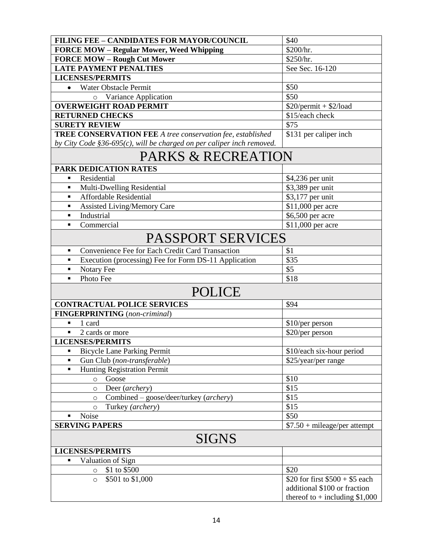| <b>FILING FEE - CANDIDATES FOR MAYOR/COUNCIL</b>                         | \$40                             |  |  |
|--------------------------------------------------------------------------|----------------------------------|--|--|
| <b>FORCE MOW - Regular Mower, Weed Whipping</b>                          | \$200/hr.                        |  |  |
| <b>FORCE MOW - Rough Cut Mower</b>                                       | \$250/hr.                        |  |  |
| <b>LATE PAYMENT PENALTIES</b>                                            | See Sec. 16-120                  |  |  |
| <b>LICENSES/PERMITS</b>                                                  |                                  |  |  |
| Water Obstacle Permit<br>$\bullet$                                       | \$50                             |  |  |
| Variance Application<br>$\circ$                                          | \$50                             |  |  |
| <b>OVERWEIGHT ROAD PERMIT</b>                                            | $$20/permit + $2/load$           |  |  |
| <b>RETURNED CHECKS</b>                                                   | \$15/each check                  |  |  |
| <b>SURETY REVIEW</b>                                                     | \$75                             |  |  |
| <b>TREE CONSERVATION FEE A tree conservation fee, established</b>        | \$131 per caliper inch           |  |  |
| by City Code $$36-695(c)$ , will be charged on per caliper inch removed. |                                  |  |  |
| <b>PARKS &amp; RECREATION</b>                                            |                                  |  |  |
| PARK DEDICATION RATES                                                    |                                  |  |  |
| Residential<br>٠                                                         | \$4,236 per unit                 |  |  |
| Multi-Dwelling Residential<br>$\blacksquare$                             | \$3,389 per unit                 |  |  |
| <b>Affordable Residential</b><br>$\blacksquare$                          | $\overline{\$3,177\}$ per unit   |  |  |
| <b>Assisted Living/Memory Care</b><br>٠                                  | \$11,000 per acre                |  |  |
| Industrial<br>$\blacksquare$                                             | \$6,500 per acre                 |  |  |
| Commercial<br>$\blacksquare$                                             | \$11,000 per acre                |  |  |
| <b>PASSPORT SERVICES</b>                                                 |                                  |  |  |
| Convenience Fee for Each Credit Card Transaction<br>٠                    | \$1                              |  |  |
| Execution (processing) Fee for Form DS-11 Application<br>$\blacksquare$  | \$35                             |  |  |
| Notary Fee<br>٠                                                          | \$5                              |  |  |
| Photo Fee<br>$\blacksquare$                                              | \$18                             |  |  |
| <b>POLICE</b>                                                            |                                  |  |  |
| <b>CONTRACTUAL POLICE SERVICES</b>                                       | \$94                             |  |  |
| <b>FINGERPRINTING</b> (non-criminal)                                     |                                  |  |  |
| 1 card<br>$\blacksquare$                                                 | \$10/per person                  |  |  |
| $\blacksquare$<br>2 cards or more                                        | \$20/per person                  |  |  |
| <b>LICENSES/PERMITS</b>                                                  |                                  |  |  |
| <b>Bicycle Lane Parking Permit</b><br>$\blacksquare$                     | \$10/each six-hour period        |  |  |
| Gun Club (non-transferable)<br>٠                                         | \$25/year/per range              |  |  |
| <b>Hunting Registration Permit</b><br>$\blacksquare$                     |                                  |  |  |
| Goose<br>$\circ$                                                         | \$10                             |  |  |
| Deer (archery)<br>$\circ$                                                | \$15                             |  |  |
| Combined – goose/deer/turkey (archery)<br>$\circ$                        | \$15                             |  |  |
| Turkey (archery)<br>$\circ$                                              | \$15                             |  |  |
| Noise<br>٠                                                               | \$50                             |  |  |
| <b>SERVING PAPERS</b>                                                    | $$7.50 + mileage/per$ attempt    |  |  |
| <b>SIGNS</b>                                                             |                                  |  |  |
| <b>LICENSES/PERMITS</b>                                                  |                                  |  |  |
| Valuation of Sign                                                        |                                  |  |  |
| \$1 to \$500<br>$\circ$                                                  | \$20                             |  |  |
| \$501 to \$1,000<br>$\circ$                                              | \$20 for first $$500 + $5$ each  |  |  |
|                                                                          | additional \$100 or fraction     |  |  |
|                                                                          | thereof to $+$ including \$1,000 |  |  |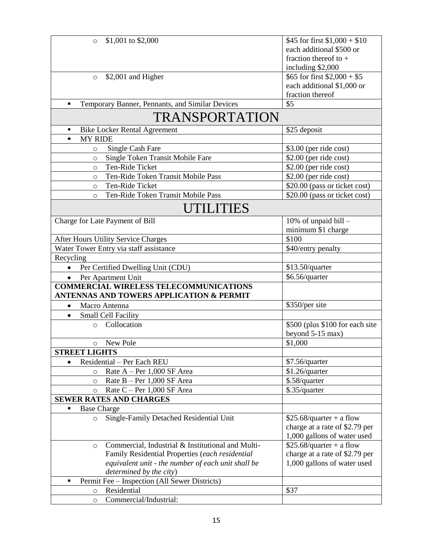| \$1,001 to \$2,000<br>$\circ$                                                                        | \$45 for first $$1,000 + $10$                       |  |
|------------------------------------------------------------------------------------------------------|-----------------------------------------------------|--|
|                                                                                                      | each additional \$500 or                            |  |
|                                                                                                      | fraction thereof to $+$                             |  |
|                                                                                                      | including \$2,000                                   |  |
| \$2,001 and Higher<br>$\circ$                                                                        | \$65 for first $$2,000 + $5$                        |  |
|                                                                                                      | each additional \$1,000 or                          |  |
|                                                                                                      | fraction thereof                                    |  |
| Temporary Banner, Pennants, and Similar Devices<br>$\blacksquare$                                    | \$5                                                 |  |
| TRANSPORTATION                                                                                       |                                                     |  |
| <b>Bike Locker Rental Agreement</b><br>٠                                                             | \$25 deposit                                        |  |
| <b>MY RIDE</b><br>$\blacksquare$                                                                     |                                                     |  |
| Single Cash Fare<br>$\circ$                                                                          | \$3.00 (per ride cost)                              |  |
| Single Token Transit Mobile Fare<br>$\circ$                                                          | $$2.00$ (per ride cost)                             |  |
| Ten-Ride Ticket<br>$\circ$                                                                           | $$2.00$ (per ride cost)                             |  |
| Ten-Ride Token Transit Mobile Pass<br>$\circ$                                                        | \$2.00 (per ride cost)                              |  |
| Ten-Ride Ticket<br>$\circ$                                                                           | \$20.00 (pass or ticket cost)                       |  |
| Ten-Ride Token Transit Mobile Pass<br>$\circ$                                                        | \$20.00 (pass or ticket cost)                       |  |
| UTILITIES                                                                                            |                                                     |  |
| Charge for Late Payment of Bill                                                                      | 10% of unpaid bill -                                |  |
|                                                                                                      | minimum \$1 charge                                  |  |
| After Hours Utility Service Charges                                                                  | \$100                                               |  |
| Water Tower Entry via staff assistance                                                               | \$40/entry penalty                                  |  |
| Recycling                                                                                            |                                                     |  |
| Per Certified Dwelling Unit (CDU)                                                                    | \$13.50/quarter                                     |  |
| Per Apartment Unit                                                                                   | \$6.56/quarter                                      |  |
| <b>COMMERCIAL WIRELESS TELECOMMUNICATIONS</b><br><b>ANTENNAS AND TOWERS APPLICATION &amp; PERMIT</b> |                                                     |  |
| Macro Antenna<br>$\bullet$                                                                           | \$350/per site                                      |  |
|                                                                                                      |                                                     |  |
| <b>Small Cell Facility</b><br>Collocation                                                            |                                                     |  |
| $\circ$                                                                                              | \$500 (plus \$100 for each site<br>beyond 5-15 max) |  |
|                                                                                                      | \$1,000                                             |  |
| New Pole<br>$\circ$<br><b>STREET LIGHTS</b>                                                          |                                                     |  |
|                                                                                                      |                                                     |  |
| Residential – Per Each REU<br>$\bullet$                                                              | \$7.56/quarter                                      |  |
| Rate $A - Per\ 1,000$ SF Area<br>$\circ$                                                             | \$1.26/quarter                                      |  |
| Rate $B - Per\ 1,000$ SF Area<br>$\circ$                                                             | \$.58/quarter                                       |  |
| Rate C - Per 1,000 SF Area<br>$\circ$                                                                | \$.35/quarter                                       |  |
| <b>SEWER RATES AND CHARGES</b>                                                                       |                                                     |  |
| <b>Base Charge</b>                                                                                   |                                                     |  |
| Single-Family Detached Residential Unit<br>$\circ$                                                   | $$25.68/quarter + a flow$                           |  |
|                                                                                                      | charge at a rate of \$2.79 per                      |  |
|                                                                                                      | 1,000 gallons of water used                         |  |
| Commercial, Industrial & Institutional and Multi-<br>$\circ$                                         | $$25.68/quarter + a flow$                           |  |
| Family Residential Properties (each residential                                                      | charge at a rate of \$2.79 per                      |  |
| equivalent unit - the number of each unit shall be                                                   | 1,000 gallons of water used                         |  |
| determined by the city)                                                                              |                                                     |  |
| Permit Fee - Inspection (All Sewer Districts)<br>٠<br>Residential                                    | \$37                                                |  |
| $\circ$                                                                                              |                                                     |  |
| Commercial/Industrial:<br>$\circ$                                                                    |                                                     |  |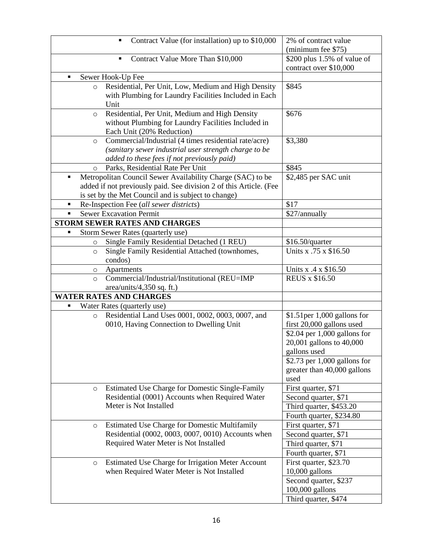|   |         | Contract Value (for installation) up to \$10,000<br>$\blacksquare$ | 2% of contract value           |
|---|---------|--------------------------------------------------------------------|--------------------------------|
|   |         |                                                                    | (minimum fee \$75)             |
|   |         | Contract Value More Than \$10,000<br>٠                             | \$200 plus $1.5\%$ of value of |
|   |         |                                                                    | contract over \$10,000         |
| п |         | Sewer Hook-Up Fee                                                  |                                |
|   | $\circ$ | Residential, Per Unit, Low, Medium and High Density                | \$845                          |
|   |         | with Plumbing for Laundry Facilities Included in Each              |                                |
|   |         | Unit                                                               |                                |
|   | $\circ$ | Residential, Per Unit, Medium and High Density                     | \$676                          |
|   |         | without Plumbing for Laundry Facilities Included in                |                                |
|   |         | Each Unit (20% Reduction)                                          |                                |
|   | O       | Commercial/Industrial (4 times residential rate/acre)              | \$3,380                        |
|   |         | (sanitary sewer industrial user strength charge to be              |                                |
|   |         | added to these fees if not previously paid)                        |                                |
|   | $\circ$ | Parks, Residential Rate Per Unit                                   | \$845                          |
| ٠ |         | Metropolitan Council Sewer Availability Charge (SAC) to be         | \$2,485 per SAC unit           |
|   |         | added if not previously paid. See division 2 of this Article. (Fee |                                |
|   |         | is set by the Met Council and is subject to change)                |                                |
| ٠ |         | Re-Inspection Fee (all sewer districts)                            | \$17                           |
| ٠ |         | <b>Sewer Excavation Permit</b>                                     | \$27/annually                  |
|   |         | STORM SEWER RATES AND CHARGES                                      |                                |
|   |         | Storm Sewer Rates (quarterly use)                                  |                                |
|   | $\circ$ | Single Family Residential Detached (1 REU)                         | \$16.50/quarter                |
|   | $\circ$ | Single Family Residential Attached (townhomes,                     | Units x .75 x \$16.50          |
|   |         | condos)                                                            |                                |
|   |         |                                                                    | Units x .4 x \$16.50           |
|   | $\circ$ | Apartments<br>Commercial/Industrial/Institutional (REU=IMP         | <b>REUS x \$16.50</b>          |
|   | $\circ$ |                                                                    |                                |
|   |         | area/units/4,350 sq. ft.)<br><b>WATER RATES AND CHARGES</b>        |                                |
|   |         |                                                                    |                                |
| ٠ |         | Water Rates (quarterly use)                                        |                                |
|   | $\circ$ | Residential Land Uses 0001, 0002, 0003, 0007, and                  | $$1.51$ per 1,000 gallons for  |
|   |         | 0010, Having Connection to Dwelling Unit                           | first 20,000 gallons used      |
|   |         |                                                                    | $$2.04$ per 1,000 gallons for  |
|   |         |                                                                    | 20,001 gallons to 40,000       |
|   |         |                                                                    | gallons used                   |
|   |         |                                                                    | \$2.73 per $1,000$ gallons for |
|   |         |                                                                    | greater than 40,000 gallons    |
|   |         |                                                                    | used                           |
|   | $\circ$ | <b>Estimated Use Charge for Domestic Single-Family</b>             | First quarter, \$71            |
|   |         | Residential (0001) Accounts when Required Water                    | Second quarter, \$71           |
|   |         | Meter is Not Installed                                             | Third quarter, \$453.20        |
|   |         |                                                                    | Fourth quarter, \$234.80       |
|   | O       | <b>Estimated Use Charge for Domestic Multifamily</b>               | First quarter, \$71            |
|   |         | Residential (0002, 0003, 0007, 0010) Accounts when                 | Second quarter, \$71           |
|   |         | Required Water Meter is Not Installed                              | Third quarter, \$71            |
|   |         |                                                                    | Fourth quarter, \$71           |
|   | $\circ$ | Estimated Use Charge for Irrigation Meter Account                  | First quarter, \$23.70         |
|   |         | when Required Water Meter is Not Installed                         | $10,000$ gallons               |
|   |         |                                                                    | Second quarter, \$237          |
|   |         |                                                                    | 100,000 gallons                |
|   |         |                                                                    |                                |
|   |         |                                                                    | Third quarter, \$474           |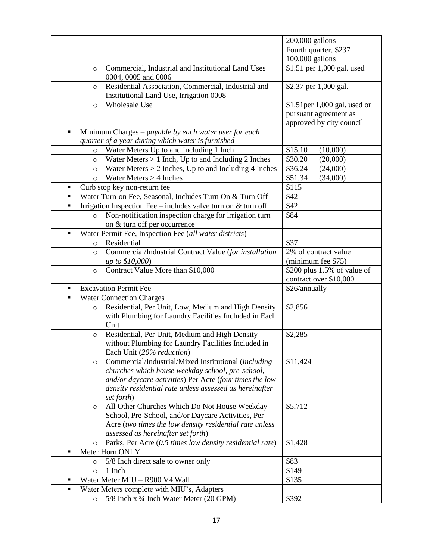|                                                                            | 200,000 gallons              |
|----------------------------------------------------------------------------|------------------------------|
|                                                                            | Fourth quarter, \$237        |
|                                                                            | 100,000 gallons              |
|                                                                            |                              |
| Commercial, Industrial and Institutional Land Uses<br>$\circ$              | \$1.51 per 1,000 gal. used   |
| 0004, 0005 and 0006                                                        |                              |
| Residential Association, Commercial, Industrial and<br>$\circ$             | \$2.37 per 1,000 gal.        |
| Institutional Land Use, Irrigation 0008                                    |                              |
| <b>Wholesale Use</b><br>$\circ$                                            | \$1.51per 1,000 gal. used or |
|                                                                            | pursuant agreement as        |
|                                                                            | approved by city council     |
| Minimum Charges – payable by each water user for each<br>٠                 |                              |
| quarter of a year during which water is furnished                          |                              |
| Water Meters Up to and Including 1 Inch<br>$\circ$                         | \$15.10<br>(10,000)          |
| Water Meters $> 1$ Inch, Up to and Including 2 Inches<br>$\circ$           | \$30.20<br>(20,000)          |
| Water Meters $> 2$ Inches, Up to and Including 4 Inches<br>$\circ$         | \$36.24<br>(24,000)          |
| Water Meters $> 4$ Inches<br>$\circ$                                       | \$51.34<br>(34,000)          |
| Curb stop key non-return fee<br>п                                          | \$115                        |
| Water Turn-on Fee, Seasonal, Includes Turn On & Turn Off<br>$\blacksquare$ | \$42                         |
| Irrigation Inspection Fee $-$ includes valve turn on $&$ turn off<br>п     | \$42                         |
| Non-notification inspection charge for irrigation turn<br>$\circ$          | \$84                         |
| on & turn off per occurrence                                               |                              |
|                                                                            |                              |
| Water Permit Fee, Inspection Fee (all water districts)                     |                              |
| Residential<br>$\circ$                                                     | \$37                         |
| Commercial/Industrial Contract Value (for installation<br>$\circ$          | 2% of contract value         |
| <i>up to \$10,000</i> )                                                    | (minimum fee \$75)           |
| Contract Value More than \$10,000<br>$\circ$                               | \$200 plus 1.5% of value of  |
|                                                                            | contract over \$10,000       |
| <b>Excavation Permit Fee</b><br>п                                          | \$26/annually                |
| <b>Water Connection Charges</b><br>п                                       |                              |
| Residential, Per Unit, Low, Medium and High Density<br>$\circ$             | \$2,856                      |
| with Plumbing for Laundry Facilities Included in Each                      |                              |
| Unit                                                                       |                              |
| Residential, Per Unit, Medium and High Density<br>$\circ$                  | \$2,285                      |
| without Plumbing for Laundry Facilities Included in                        |                              |
| Each Unit (20% reduction)                                                  |                              |
| Commercial/Industrial/Mixed Institutional (including<br>$\circ$            | \$11,424                     |
| churches which house weekday school, pre-school,                           |                              |
| and/or daycare activities) Per Acre (four times the low                    |                              |
| density residential rate unless assessed as hereinafter                    |                              |
| set forth)                                                                 |                              |
| All Other Churches Which Do Not House Weekday<br>$\circ$                   | \$5,712                      |
| School, Pre-School, and/or Daycare Activities, Per                         |                              |
| Acre (two times the low density residential rate unless                    |                              |
| assessed as hereinafter set forth)                                         |                              |
| Parks, Per Acre (0.5 times low density residential rate)<br>$\circ$        | \$1,428                      |
| Meter Horn ONLY<br>٠                                                       |                              |
|                                                                            | \$83                         |
| 5/8 Inch direct sale to owner only<br>$\circ$                              |                              |
| 1 Inch<br>$\circ$                                                          | \$149                        |
| Water Meter MIU - R900 V4 Wall<br>п                                        | \$135                        |
| Water Meters complete with MIU's, Adapters<br>٠                            |                              |
| 5/8 Inch x 3/4 Inch Water Meter (20 GPM)<br>$\circ$                        | \$392                        |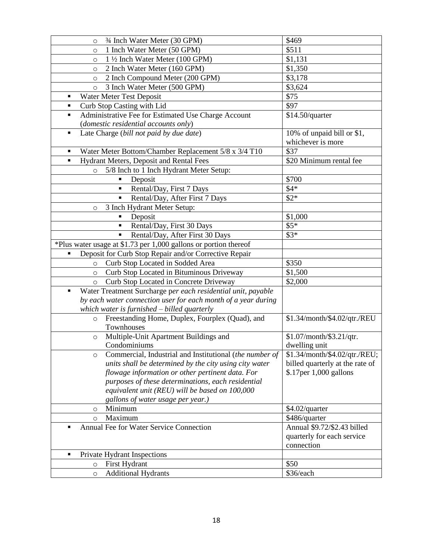| 3⁄4 Inch Water Meter (30 GPM)<br>$\circ$                                       | \$469                           |
|--------------------------------------------------------------------------------|---------------------------------|
| 1 Inch Water Meter (50 GPM)<br>$\circ$                                         | \$511                           |
| 1 1/2 Inch Water Meter (100 GPM)<br>$\circ$                                    | \$1,131                         |
| 2 Inch Water Meter (160 GPM)<br>$\circ$                                        | \$1,350                         |
| 2 Inch Compound Meter (200 GPM)<br>$\circ$                                     | \$3,178                         |
| 3 Inch Water Meter (500 GPM)<br>$\circ$                                        | \$3,624                         |
| Water Meter Test Deposit<br>٠                                                  | \$75                            |
| Curb Stop Casting with Lid<br>٠                                                | \$97                            |
| Administrative Fee for Estimated Use Charge Account<br>٠                       | \$14.50/quarter                 |
| (domestic residential accounts only)                                           |                                 |
| Late Charge (bill not paid by due date)<br>٠                                   | 10% of unpaid bill or \$1,      |
|                                                                                | whichever is more               |
| Water Meter Bottom/Chamber Replacement 5/8 x 3/4 T10<br>$\blacksquare$         | \$37                            |
| Hydrant Meters, Deposit and Rental Fees<br>$\blacksquare$                      | \$20 Minimum rental fee         |
| 5/8 Inch to 1 Inch Hydrant Meter Setup:<br>$\circ$                             |                                 |
| Deposit                                                                        | \$700                           |
| Rental/Day, First 7 Days<br>Ξ                                                  | $$4*$                           |
| Rental/Day, After First 7 Days<br>$\blacksquare$                               | $$2*$                           |
| 3 Inch Hydrant Meter Setup:<br>$\circ$                                         |                                 |
| Deposit<br>٠                                                                   | \$1,000                         |
| Rental/Day, First 30 Days<br>$\blacksquare$                                    | $$5*$                           |
| Rental/Day, After First 30 Days                                                | $$3*$                           |
| *Plus water usage at \$1.73 per 1,000 gallons or portion thereof               |                                 |
| Deposit for Curb Stop Repair and/or Corrective Repair<br>٠                     |                                 |
| Curb Stop Located in Sodded Area<br>$\circ$                                    | \$350                           |
| Curb Stop Located in Bituminous Driveway<br>$\circ$                            | \$1,500                         |
| Curb Stop Located in Concrete Driveway<br>$\circ$                              | \$2,000                         |
| Water Treatment Surcharge per each residential unit, payable<br>$\blacksquare$ |                                 |
| by each water connection user for each month of a year during                  |                                 |
| which water is furnished - billed quarterly                                    |                                 |
| Freestanding Home, Duplex, Fourplex (Quad), and<br>$\circ$                     | \$1.34/month/\$4.02/qtr./REU    |
| Townhouses                                                                     |                                 |
| Multiple-Unit Apartment Buildings and<br>$\circ$                               | \$1.07/month/\$3.21/qtr.        |
| Condominiums                                                                   | dwelling unit                   |
| Commercial, Industrial and Institutional (the number of<br>O                   | \$1.34/month/\$4.02/qtr./REU;   |
| units shall be determined by the city using city water                         | billed quarterly at the rate of |
| flowage information or other pertinent data. For                               | \$.17per 1,000 gallons          |
| purposes of these determinations, each residential                             |                                 |
| equivalent unit (REU) will be based on 100,000                                 |                                 |
| gallons of water usage per year.)                                              |                                 |
| Minimum<br>O                                                                   | \$4.02/quarter                  |
| Maximum<br>$\circ$                                                             | \$486/quarter                   |
| Annual Fee for Water Service Connection                                        | Annual \$9.72/\$2.43 billed     |
|                                                                                | quarterly for each service      |
|                                                                                | connection                      |
| Private Hydrant Inspections<br>٠                                               |                                 |
| First Hydrant<br>$\circ$                                                       | \$50                            |
| <b>Additional Hydrants</b><br>$\circ$                                          | \$36/each                       |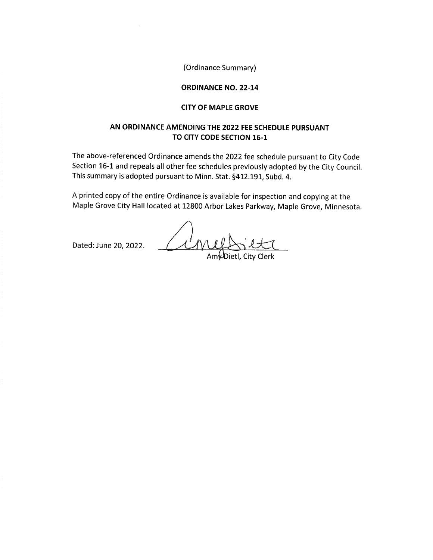(Ordinance Summary)

### **ORDINANCE NO. 22-14**

#### **CITY OF MAPLE GROVE**

# AN ORDINANCE AMENDING THE 2022 FEE SCHEDULE PURSUANT TO CITY CODE SECTION 16-1

The above-referenced Ordinance amends the 2022 fee schedule pursuant to City Code Section 16-1 and repeals all other fee schedules previously adopted by the City Council. This summary is adopted pursuant to Minn. Stat. §412.191, Subd. 4.

A printed copy of the entire Ordinance is available for inspection and copying at the Maple Grove City Hall located at 12800 Arbor Lakes Parkway, Maple Grove, Minnesota.

Cine Dated: June 20, 2022.